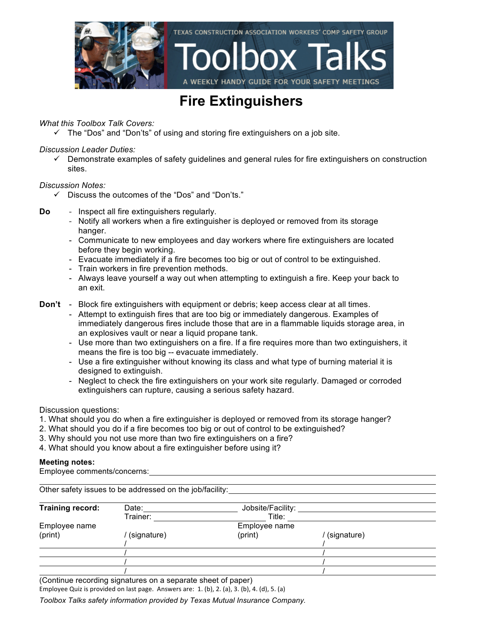

#### **Fire Extinguishers**

*What this Toolbox Talk Covers:*

 $\checkmark$  The "Dos" and "Don'ts" of using and storing fire extinguishers on a job site.

*Discussion Leader Duties:*

 $\checkmark$  Demonstrate examples of safety guidelines and general rules for fire extinguishers on construction sites.

*Discussion Notes:*

- $\checkmark$  Discuss the outcomes of the "Dos" and "Don'ts."
- **Do** Inspect all fire extinguishers regularly.
	- Notify all workers when a fire extinguisher is deployed or removed from its storage hanger.
	- Communicate to new employees and day workers where fire extinguishers are located before they begin working.
	- Evacuate immediately if a fire becomes too big or out of control to be extinguished.
	- Train workers in fire prevention methods.
	- Always leave yourself a way out when attempting to extinguish a fire. Keep your back to an exit.
- **Don't** Block fire extinguishers with equipment or debris; keep access clear at all times.
	- Attempt to extinguish fires that are too big or immediately dangerous. Examples of immediately dangerous fires include those that are in a flammable liquids storage area, in an explosives vault or near a liquid propane tank.
	- Use more than two extinguishers on a fire. If a fire requires more than two extinguishers, it means the fire is too big -- evacuate immediately.
	- Use a fire extinguisher without knowing its class and what type of burning material it is designed to extinguish.
	- Neglect to check the fire extinguishers on your work site regularly. Damaged or corroded extinguishers can rupture, causing a serious safety hazard.

Discussion questions:

- 1. What should you do when a fire extinguisher is deployed or removed from its storage hanger?
- 2. What should you do if a fire becomes too big or out of control to be extinguished?
- 3. Why should you not use more than two fire extinguishers on a fire?
- 4. What should you know about a fire extinguisher before using it?

#### **Meeting notes:**

Employee comments/concerns:

| Other safety issues to be addressed on the job/facility: |               |                   |             |  |  |  |
|----------------------------------------------------------|---------------|-------------------|-------------|--|--|--|
| Training record:                                         | Date:         | Jobsite/Facility: |             |  |  |  |
|                                                          | Trainer:      | Title:            |             |  |  |  |
| Employee name                                            | Employee name |                   |             |  |  |  |
| (print)                                                  | (signature)   | (print)           | (signature) |  |  |  |
|                                                          |               |                   |             |  |  |  |
|                                                          |               |                   |             |  |  |  |
|                                                          |               |                   |             |  |  |  |
|                                                          |               |                   |             |  |  |  |

(Continue recording signatures on a separate sheet of paper)

Employee Quiz is provided on last page. Answers are:  $1.$  (b),  $2.$  (a),  $3.$  (b),  $4.$  (d),  $5.$  (a)

*Toolbox Talks safety information provided by Texas Mutual Insurance Company.*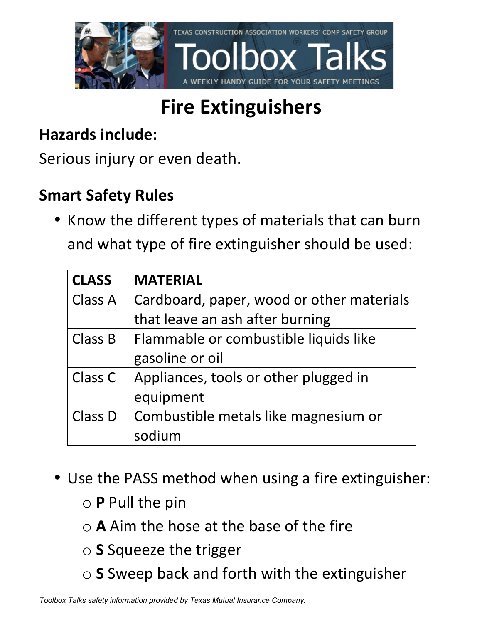

# **Fire Extinguishers**

### **Hazards include:**

Serious injury or even death.

### **Smart Safety Rules**

• Know the different types of materials that can burn and what type of fire extinguisher should be used:

| <b>CLASS</b>   | <b>MATERIAL</b>                           |  |
|----------------|-------------------------------------------|--|
| Class A        | Cardboard, paper, wood or other materials |  |
|                | that leave an ash after burning           |  |
| <b>Class B</b> | Flammable or combustible liquids like     |  |
|                | gasoline or oil                           |  |
| Class C        | Appliances, tools or other plugged in     |  |
|                | equipment                                 |  |
| Class D        | Combustible metals like magnesium or      |  |
|                | sodium                                    |  |

- Use the PASS method when using a fire extinguisher:
	- o **P** Pull the pin
	- $\circ$  **A** Aim the hose at the base of the fire
	- o **S** Squeeze the trigger
	- o **S** Sweep back and forth with the extinguisher